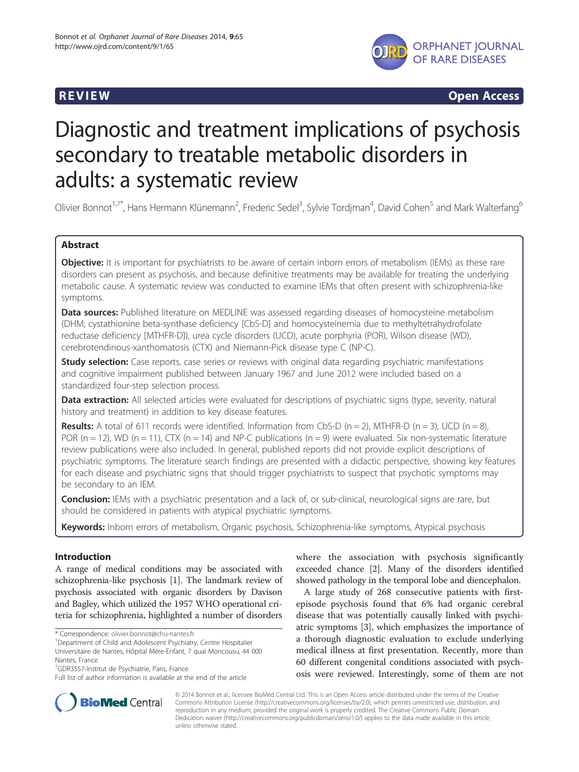

R EVI EW Open Access

# Diagnostic and treatment implications of psychosis secondary to treatable metabolic disorders in adults: a systematic review

Olivier Bonnot<sup>1,7\*</sup>, Hans Hermann Klünemann<sup>2</sup>, Frederic Sedel<sup>3</sup>, Sylvie Tordjman<sup>4</sup>, David Cohen<sup>5</sup> and Mark Walterfang<sup>6</sup>

# Abstract

Objective: It is important for psychiatrists to be aware of certain inborn errors of metabolism (IEMs) as these rare disorders can present as psychosis, and because definitive treatments may be available for treating the underlying metabolic cause. A systematic review was conducted to examine IEMs that often present with schizophrenia-like symptoms.

Data sources: Published literature on MEDLINE was assessed regarding diseases of homocysteine metabolism (DHM; cystathionine beta-synthase deficiency [CbS-D] and homocysteinemia due to methyltetrahydrofolate reductase deficiency [MTHFR-D]), urea cycle disorders (UCD), acute porphyria (POR), Wilson disease (WD), cerebrotendinous-xanthomatosis (CTX) and Niemann-Pick disease type C (NP-C).

**Study selection:** Case reports, case series or reviews with original data regarding psychiatric manifestations and cognitive impairment published between January 1967 and June 2012 were included based on a standardized four-step selection process.

Data extraction: All selected articles were evaluated for descriptions of psychiatric signs (type, severity, natural history and treatment) in addition to key disease features.

**Results:** A total of 611 records were identified. Information from CbS-D (n = 2), MTHFR-D (n = 3), UCD (n = 8), POR ( $n = 12$ ), WD ( $n = 11$ ), CTX ( $n = 14$ ) and NP-C publications ( $n = 9$ ) were evaluated. Six non-systematic literature review publications were also included. In general, published reports did not provide explicit descriptions of psychiatric symptoms. The literature search findings are presented with a didactic perspective, showing key features for each disease and psychiatric signs that should trigger psychiatrists to suspect that psychotic symptoms may be secondary to an IEM.

**Conclusion:** IEMs with a psychiatric presentation and a lack of, or sub-clinical, neurological signs are rare, but should be considered in patients with atypical psychiatric symptoms.

Keywords: Inborn errors of metabolism, Organic psychosis, Schizophrenia-like symptoms, Atypical psychosis

# Introduction

A range of medical conditions may be associated with schizophrenia-like psychosis [[1](#page-10-0)]. The landmark review of psychosis associated with organic disorders by Davison and Bagley, which utilized the 1957 WHO operational criteria for schizophrenia, highlighted a number of disorders

<sup>7</sup>GDR3557-Institut de Psychiatrie, Paris, France

where the association with psychosis significantly exceeded chance [\[2](#page-10-0)]. Many of the disorders identified showed pathology in the temporal lobe and diencephalon.

A large study of 268 consecutive patients with firstepisode psychosis found that 6% had organic cerebral disease that was potentially causally linked with psychiatric symptoms [\[3](#page-10-0)], which emphasizes the importance of a thorough diagnostic evaluation to exclude underlying medical illness at first presentation. Recently, more than 60 different congenital conditions associated with psychosis were reviewed. Interestingly, some of them are not



© 2014 Bonnot et al.; licensee BioMed Central Ltd. This is an Open Access article distributed under the terms of the Creative Commons Attribution License [\(http://creativecommons.org/licenses/by/2.0\)](http://creativecommons.org/licenses/by/2.0), which permits unrestricted use, distribution, and reproduction in any medium, provided the original work is properly credited. The Creative Commons Public Domain Dedication waiver [\(http://creativecommons.org/publicdomain/zero/1.0/](http://creativecommons.org/publicdomain/zero/1.0/)) applies to the data made available in this article, unless otherwise stated.

<sup>\*</sup> Correspondence: [olivier.bonnot@chu-nantes.fr](mailto:olivier.bonnot@chu-nantes.fr) <sup>1</sup>

<sup>&</sup>lt;sup>1</sup> Department of Child and Adolescent Psychiatry, Centre Hospitalier Universitaire de Nantes, Hôpital Mère-Enfant, 7 quai Moncousu, 44 000 Nantes, France

Full list of author information is available at the end of the article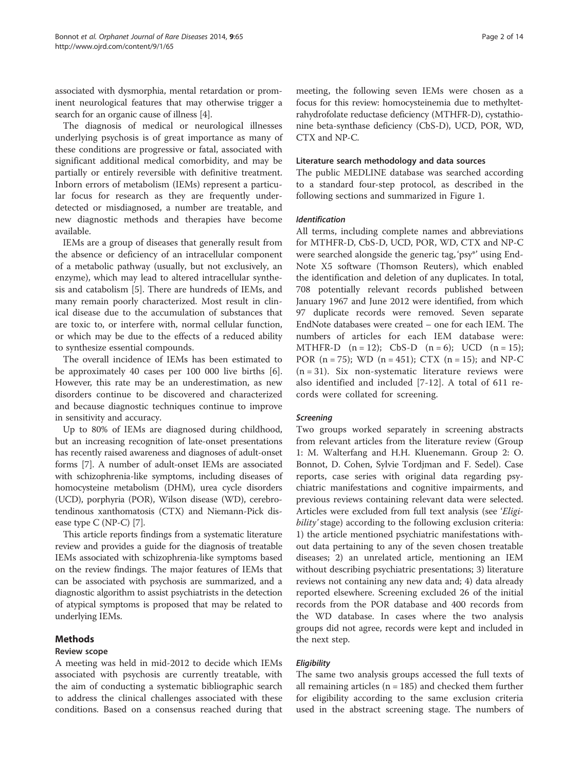associated with dysmorphia, mental retardation or prominent neurological features that may otherwise trigger a search for an organic cause of illness [\[4](#page-10-0)].

The diagnosis of medical or neurological illnesses underlying psychosis is of great importance as many of these conditions are progressive or fatal, associated with significant additional medical comorbidity, and may be partially or entirely reversible with definitive treatment. Inborn errors of metabolism (IEMs) represent a particular focus for research as they are frequently underdetected or misdiagnosed, a number are treatable, and new diagnostic methods and therapies have become available.

IEMs are a group of diseases that generally result from the absence or deficiency of an intracellular component of a metabolic pathway (usually, but not exclusively, an enzyme), which may lead to altered intracellular synthesis and catabolism [\[5](#page-10-0)]. There are hundreds of IEMs, and many remain poorly characterized. Most result in clinical disease due to the accumulation of substances that are toxic to, or interfere with, normal cellular function, or which may be due to the effects of a reduced ability to synthesize essential compounds.

The overall incidence of IEMs has been estimated to be approximately 40 cases per 100 000 live births [\[6](#page-10-0)]. However, this rate may be an underestimation, as new disorders continue to be discovered and characterized and because diagnostic techniques continue to improve in sensitivity and accuracy.

Up to 80% of IEMs are diagnosed during childhood, but an increasing recognition of late-onset presentations has recently raised awareness and diagnoses of adult-onset forms [\[7\]](#page-10-0). A number of adult-onset IEMs are associated with schizophrenia-like symptoms, including diseases of homocysteine metabolism (DHM), urea cycle disorders (UCD), porphyria (POR), Wilson disease (WD), cerebrotendinous xanthomatosis (CTX) and Niemann-Pick disease type C (NP-C) [\[7](#page-10-0)].

This article reports findings from a systematic literature review and provides a guide for the diagnosis of treatable IEMs associated with schizophrenia-like symptoms based on the review findings. The major features of IEMs that can be associated with psychosis are summarized, and a diagnostic algorithm to assist psychiatrists in the detection of atypical symptoms is proposed that may be related to underlying IEMs.

### Methods

### Review scope

A meeting was held in mid-2012 to decide which IEMs associated with psychosis are currently treatable, with the aim of conducting a systematic bibliographic search to address the clinical challenges associated with these conditions. Based on a consensus reached during that meeting, the following seven IEMs were chosen as a focus for this review: homocysteinemia due to methyltetrahydrofolate reductase deficiency (MTHFR-D), cystathionine beta-synthase deficiency (CbS-D), UCD, POR, WD, CTX and NP-C.

#### Literature search methodology and data sources

The public MEDLINE database was searched according to a standard four-step protocol, as described in the following sections and summarized in Figure [1.](#page-2-0)

#### Identification

All terms, including complete names and abbreviations for MTHFR-D, CbS-D, UCD, POR, WD, CTX and NP-C were searched alongside the generic tag, 'psy\*' using End-Note X5 software (Thomson Reuters), which enabled the identification and deletion of any duplicates. In total, 708 potentially relevant records published between January 1967 and June 2012 were identified, from which 97 duplicate records were removed. Seven separate EndNote databases were created – one for each IEM. The numbers of articles for each IEM database were: MTHFR-D  $(n = 12)$ ; CbS-D  $(n = 6)$ ; UCD  $(n = 15)$ ; POR  $(n = 75)$ ; WD  $(n = 451)$ ; CTX  $(n = 15)$ ; and NP-C (n = 31). Six non-systematic literature reviews were also identified and included [\[7](#page-10-0)-[12](#page-11-0)]. A total of 611 records were collated for screening.

#### Screening

Two groups worked separately in screening abstracts from relevant articles from the literature review (Group 1: M. Walterfang and H.H. Kluenemann. Group 2: O. Bonnot, D. Cohen, Sylvie Tordjman and F. Sedel). Case reports, case series with original data regarding psychiatric manifestations and cognitive impairments, and previous reviews containing relevant data were selected. Articles were excluded from full text analysis (see 'Eligibility' stage) according to the following exclusion criteria: 1) the article mentioned psychiatric manifestations without data pertaining to any of the seven chosen treatable diseases; 2) an unrelated article, mentioning an IEM without describing psychiatric presentations; 3) literature reviews not containing any new data and; 4) data already reported elsewhere. Screening excluded 26 of the initial records from the POR database and 400 records from the WD database. In cases where the two analysis groups did not agree, records were kept and included in the next step.

#### **Eligibility**

The same two analysis groups accessed the full texts of all remaining articles ( $n = 185$ ) and checked them further for eligibility according to the same exclusion criteria used in the abstract screening stage. The numbers of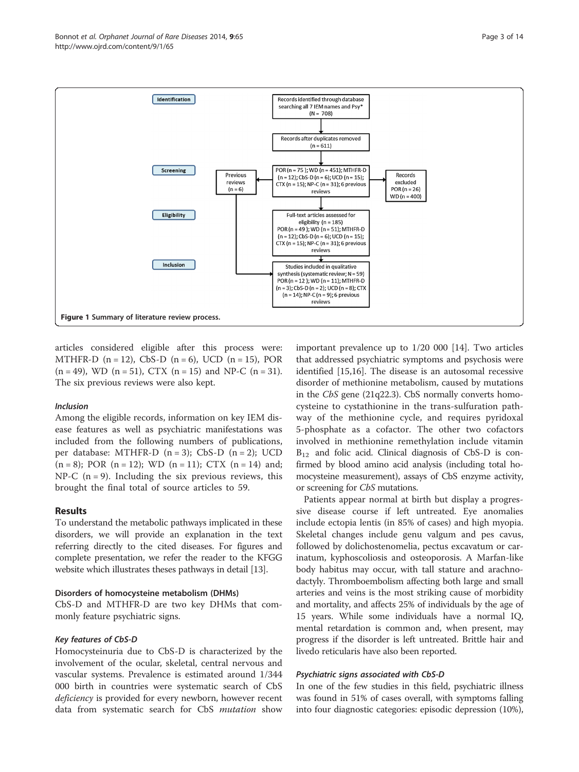<span id="page-2-0"></span>

articles considered eligible after this process were: MTHFR-D  $(n = 12)$ , CbS-D  $(n = 6)$ , UCD  $(n = 15)$ , POR  $(n = 49)$ , WD  $(n = 51)$ , CTX  $(n = 15)$  and NP-C  $(n = 31)$ . The six previous reviews were also kept.

#### Inclusion

Among the eligible records, information on key IEM disease features as well as psychiatric manifestations was included from the following numbers of publications, per database: MTHFR-D  $(n = 3)$ ; CbS-D  $(n = 2)$ ; UCD  $(n = 8)$ ; POR  $(n = 12)$ ; WD  $(n = 11)$ ; CTX  $(n = 14)$  and; NP-C  $(n = 9)$ . Including the six previous reviews, this brought the final total of source articles to 59.

#### Results

To understand the metabolic pathways implicated in these disorders, we will provide an explanation in the text referring directly to the cited diseases. For figures and complete presentation, we refer the reader to the KFGG website which illustrates theses pathways in detail [\[13\]](#page-11-0).

#### Disorders of homocysteine metabolism (DHMs)

CbS-D and MTHFR-D are two key DHMs that commonly feature psychiatric signs.

#### Key features of CbS-D

Homocysteinuria due to CbS-D is characterized by the involvement of the ocular, skeletal, central nervous and vascular systems. Prevalence is estimated around 1/344 000 birth in countries were systematic search of CbS deficiency is provided for every newborn, however recent data from systematic search for CbS *mutation* show

important prevalence up to 1/20 000 [[14\]](#page-11-0). Two articles that addressed psychiatric symptoms and psychosis were identified [[15,16\]](#page-11-0). The disease is an autosomal recessive disorder of methionine metabolism, caused by mutations in the CbS gene (21q22.3). CbS normally converts homocysteine to cystathionine in the trans-sulfuration pathway of the methionine cycle, and requires pyridoxal 5-phosphate as a cofactor. The other two cofactors involved in methionine remethylation include vitamin  $B_{12}$  and folic acid. Clinical diagnosis of CbS-D is confirmed by blood amino acid analysis (including total homocysteine measurement), assays of CbS enzyme activity, or screening for CbS mutations.

Patients appear normal at birth but display a progressive disease course if left untreated. Eye anomalies include ectopia lentis (in 85% of cases) and high myopia. Skeletal changes include genu valgum and pes cavus, followed by dolichostenomelia, pectus excavatum or carinatum, kyphoscoliosis and osteoporosis. A Marfan-like body habitus may occur, with tall stature and arachnodactyly. Thromboembolism affecting both large and small arteries and veins is the most striking cause of morbidity and mortality, and affects 25% of individuals by the age of 15 years. While some individuals have a normal IQ, mental retardation is common and, when present, may progress if the disorder is left untreated. Brittle hair and livedo reticularis have also been reported.

#### Psychiatric signs associated with CbS-D

In one of the few studies in this field, psychiatric illness was found in 51% of cases overall, with symptoms falling into four diagnostic categories: episodic depression (10%),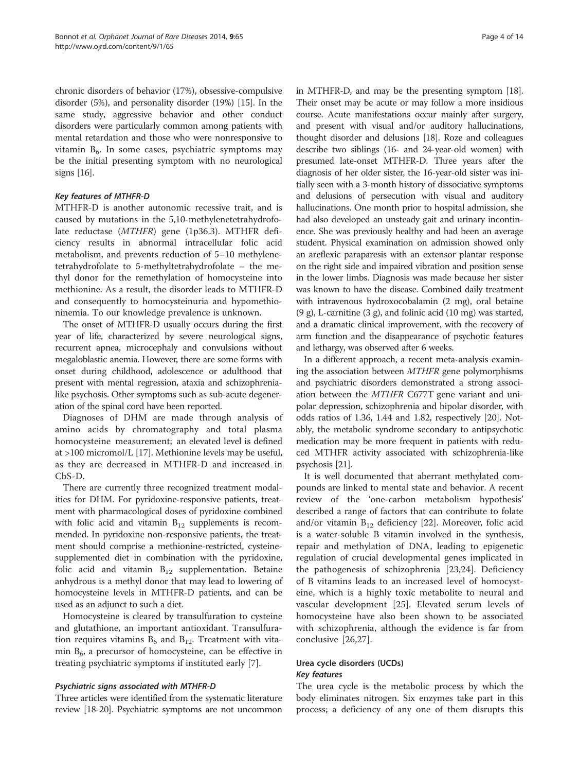chronic disorders of behavior (17%), obsessive-compulsive disorder (5%), and personality disorder (19%) [[15](#page-11-0)]. In the same study, aggressive behavior and other conduct disorders were particularly common among patients with mental retardation and those who were nonresponsive to vitamin  $B_6$ . In some cases, psychiatric symptoms may be the initial presenting symptom with no neurological signs [\[16\]](#page-11-0).

#### Key features of MTHFR-D

MTHFR-D is another autonomic recessive trait, and is caused by mutations in the 5,10-methylenetetrahydrofolate reductase (MTHFR) gene (1p36.3). MTHFR deficiency results in abnormal intracellular folic acid metabolism, and prevents reduction of 5–10 methylenetetrahydrofolate to 5-methyltetrahydrofolate – the methyl donor for the remethylation of homocysteine into methionine. As a result, the disorder leads to MTHFR-D and consequently to homocysteinuria and hypomethioninemia. To our knowledge prevalence is unknown.

The onset of MTHFR-D usually occurs during the first year of life, characterized by severe neurological signs, recurrent apnea, microcephaly and convulsions without megaloblastic anemia. However, there are some forms with onset during childhood, adolescence or adulthood that present with mental regression, ataxia and schizophrenialike psychosis. Other symptoms such as sub-acute degeneration of the spinal cord have been reported.

Diagnoses of DHM are made through analysis of amino acids by chromatography and total plasma homocysteine measurement; an elevated level is defined at >100 micromol/L [[17](#page-11-0)]. Methionine levels may be useful, as they are decreased in MTHFR-D and increased in CbS-D.

There are currently three recognized treatment modalities for DHM. For pyridoxine-responsive patients, treatment with pharmacological doses of pyridoxine combined with folic acid and vitamin  $B_{12}$  supplements is recommended. In pyridoxine non-responsive patients, the treatment should comprise a methionine-restricted, cysteinesupplemented diet in combination with the pyridoxine, folic acid and vitamin  $B_{12}$  supplementation. Betaine anhydrous is a methyl donor that may lead to lowering of homocysteine levels in MTHFR-D patients, and can be used as an adjunct to such a diet.

Homocysteine is cleared by transulfuration to cysteine and glutathione, an important antioxidant. Transulfuration requires vitamins  $B_6$  and  $B_{12}$ . Treatment with vitamin  $B_6$ , a precursor of homocysteine, can be effective in treating psychiatric symptoms if instituted early [\[7](#page-10-0)].

#### Psychiatric signs associated with MTHFR-D

Three articles were identified from the systematic literature review [\[18-20\]](#page-11-0). Psychiatric symptoms are not uncommon

in MTHFR-D, and may be the presenting symptom [\[18](#page-11-0)]. Their onset may be acute or may follow a more insidious course. Acute manifestations occur mainly after surgery, and present with visual and/or auditory hallucinations, thought disorder and delusions [\[18\]](#page-11-0). Roze and colleagues describe two siblings (16- and 24-year-old women) with presumed late-onset MTHFR-D. Three years after the diagnosis of her older sister, the 16-year-old sister was initially seen with a 3-month history of dissociative symptoms and delusions of persecution with visual and auditory hallucinations. One month prior to hospital admission, she had also developed an unsteady gait and urinary incontinence. She was previously healthy and had been an average student. Physical examination on admission showed only an areflexic paraparesis with an extensor plantar response on the right side and impaired vibration and position sense in the lower limbs. Diagnosis was made because her sister was known to have the disease. Combined daily treatment with intravenous hydroxocobalamin (2 mg), oral betaine  $(9 \text{ g})$ , L-carnitine  $(3 \text{ g})$ , and folinic acid  $(10 \text{ mg})$  was started, and a dramatic clinical improvement, with the recovery of arm function and the disappearance of psychotic features and lethargy, was observed after 6 weeks.

In a different approach, a recent meta-analysis examining the association between MTHFR gene polymorphisms and psychiatric disorders demonstrated a strong association between the MTHFR C677T gene variant and unipolar depression, schizophrenia and bipolar disorder, with odds ratios of 1.36, 1.44 and 1.82, respectively [\[20\]](#page-11-0). Notably, the metabolic syndrome secondary to antipsychotic medication may be more frequent in patients with reduced MTHFR activity associated with schizophrenia-like psychosis [\[21\]](#page-11-0).

It is well documented that aberrant methylated compounds are linked to mental state and behavior. A recent review of the 'one-carbon metabolism hypothesis' described a range of factors that can contribute to folate and/or vitamin  $B_{12}$  deficiency [\[22\]](#page-11-0). Moreover, folic acid is a water-soluble B vitamin involved in the synthesis, repair and methylation of DNA, leading to epigenetic regulation of crucial developmental genes implicated in the pathogenesis of schizophrenia [\[23,24](#page-11-0)]. Deficiency of B vitamins leads to an increased level of homocysteine, which is a highly toxic metabolite to neural and vascular development [\[25](#page-11-0)]. Elevated serum levels of homocysteine have also been shown to be associated with schizophrenia, although the evidence is far from conclusive [\[26,27](#page-11-0)].

### Urea cycle disorders (UCDs)

#### Key features

The urea cycle is the metabolic process by which the body eliminates nitrogen. Six enzymes take part in this process; a deficiency of any one of them disrupts this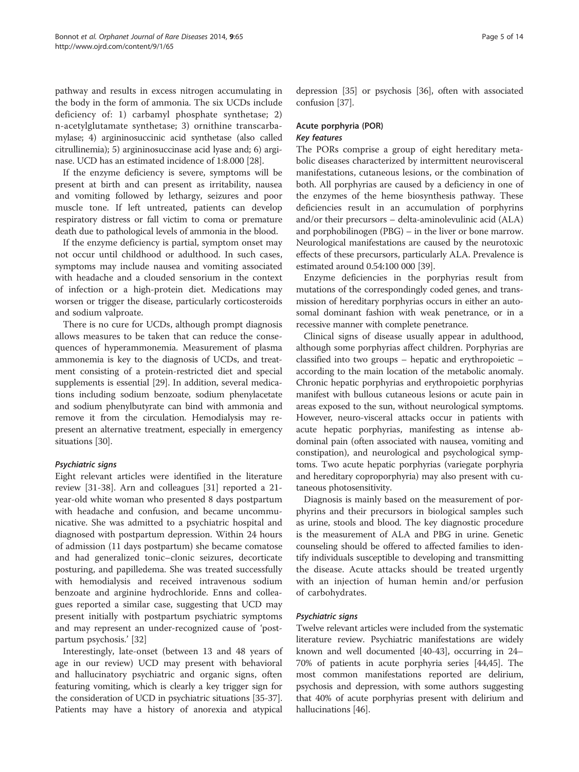pathway and results in excess nitrogen accumulating in the body in the form of ammonia. The six UCDs include deficiency of: 1) carbamyl phosphate synthetase; 2) n-acetylglutamate synthetase; 3) ornithine transcarbamylase; 4) argininosuccinic acid synthetase (also called citrullinemia); 5) argininosuccinase acid lyase and; 6) arginase. UCD has an estimated incidence of 1:8.000 [[28](#page-11-0)].

If the enzyme deficiency is severe, symptoms will be present at birth and can present as irritability, nausea and vomiting followed by lethargy, seizures and poor muscle tone. If left untreated, patients can develop respiratory distress or fall victim to coma or premature death due to pathological levels of ammonia in the blood.

If the enzyme deficiency is partial, symptom onset may not occur until childhood or adulthood. In such cases, symptoms may include nausea and vomiting associated with headache and a clouded sensorium in the context of infection or a high-protein diet. Medications may worsen or trigger the disease, particularly corticosteroids and sodium valproate.

There is no cure for UCDs, although prompt diagnosis allows measures to be taken that can reduce the consequences of hyperammonemia. Measurement of plasma ammonemia is key to the diagnosis of UCDs, and treatment consisting of a protein-restricted diet and special supplements is essential [[29\]](#page-11-0). In addition, several medications including sodium benzoate, sodium phenylacetate and sodium phenylbutyrate can bind with ammonia and remove it from the circulation. Hemodialysis may represent an alternative treatment, especially in emergency situations [[30](#page-11-0)].

### Psychiatric signs

Eight relevant articles were identified in the literature review [[31-38\]](#page-11-0). Arn and colleagues [\[31\]](#page-11-0) reported a 21 year-old white woman who presented 8 days postpartum with headache and confusion, and became uncommunicative. She was admitted to a psychiatric hospital and diagnosed with postpartum depression. Within 24 hours of admission (11 days postpartum) she became comatose and had generalized tonic–clonic seizures, decorticate posturing, and papilledema. She was treated successfully with hemodialysis and received intravenous sodium benzoate and arginine hydrochloride. Enns and colleagues reported a similar case, suggesting that UCD may present initially with postpartum psychiatric symptoms and may represent an under-recognized cause of 'postpartum psychosis.' [\[32\]](#page-11-0)

Interestingly, late-onset (between 13 and 48 years of age in our review) UCD may present with behavioral and hallucinatory psychiatric and organic signs, often featuring vomiting, which is clearly a key trigger sign for the consideration of UCD in psychiatric situations [[35](#page-11-0)-[37](#page-11-0)]. Patients may have a history of anorexia and atypical depression [\[35\]](#page-11-0) or psychosis [\[36\]](#page-11-0), often with associated confusion [[37](#page-11-0)].

# Acute porphyria (POR) Key features

The PORs comprise a group of eight hereditary metabolic diseases characterized by intermittent neurovisceral manifestations, cutaneous lesions, or the combination of both. All porphyrias are caused by a deficiency in one of the enzymes of the heme biosynthesis pathway. These deficiencies result in an accumulation of porphyrins and/or their precursors – delta-aminolevulinic acid (ALA) and porphobilinogen (PBG) – in the liver or bone marrow. Neurological manifestations are caused by the neurotoxic effects of these precursors, particularly ALA. Prevalence is estimated around 0.54:100 000 [\[39\]](#page-11-0).

Enzyme deficiencies in the porphyrias result from mutations of the correspondingly coded genes, and transmission of hereditary porphyrias occurs in either an autosomal dominant fashion with weak penetrance, or in a recessive manner with complete penetrance.

Clinical signs of disease usually appear in adulthood, although some porphyrias affect children. Porphyrias are classified into two groups – hepatic and erythropoietic – according to the main location of the metabolic anomaly. Chronic hepatic porphyrias and erythropoietic porphyrias manifest with bullous cutaneous lesions or acute pain in areas exposed to the sun, without neurological symptoms. However, neuro-visceral attacks occur in patients with acute hepatic porphyrias, manifesting as intense abdominal pain (often associated with nausea, vomiting and constipation), and neurological and psychological symptoms. Two acute hepatic porphyrias (variegate porphyria and hereditary coproporphyria) may also present with cutaneous photosensitivity.

Diagnosis is mainly based on the measurement of porphyrins and their precursors in biological samples such as urine, stools and blood. The key diagnostic procedure is the measurement of ALA and PBG in urine. Genetic counseling should be offered to affected families to identify individuals susceptible to developing and transmitting the disease. Acute attacks should be treated urgently with an injection of human hemin and/or perfusion of carbohydrates.

### Psychiatric signs

Twelve relevant articles were included from the systematic literature review. Psychiatric manifestations are widely known and well documented [[40](#page-11-0)-[43](#page-11-0)], occurring in 24– 70% of patients in acute porphyria series [[44,45](#page-11-0)]. The most common manifestations reported are delirium, psychosis and depression, with some authors suggesting that 40% of acute porphyrias present with delirium and hallucinations [\[46\]](#page-11-0).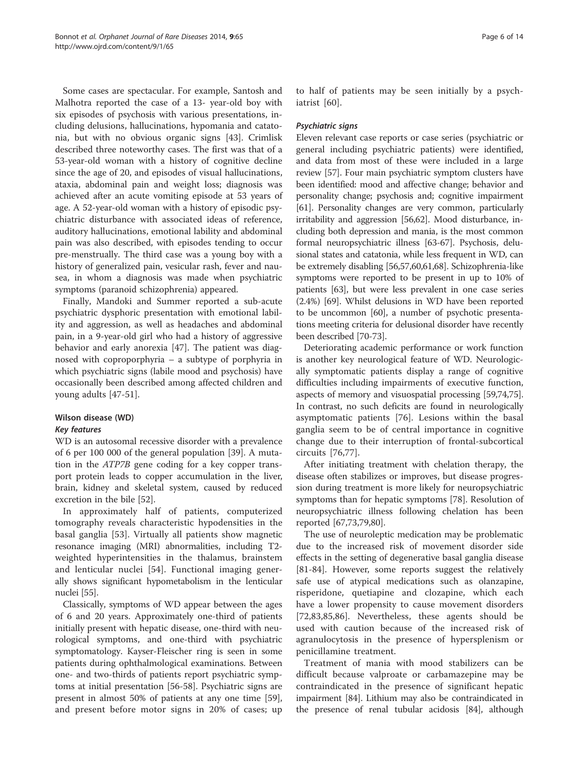Some cases are spectacular. For example, Santosh and Malhotra reported the case of a 13- year-old boy with six episodes of psychosis with various presentations, including delusions, hallucinations, hypomania and catatonia, but with no obvious organic signs [\[43](#page-11-0)]. Crimlisk described three noteworthy cases. The first was that of a 53-year-old woman with a history of cognitive decline since the age of 20, and episodes of visual hallucinations, ataxia, abdominal pain and weight loss; diagnosis was achieved after an acute vomiting episode at 53 years of age. A 52-year-old woman with a history of episodic psychiatric disturbance with associated ideas of reference, auditory hallucinations, emotional lability and abdominal pain was also described, with episodes tending to occur pre-menstrually. The third case was a young boy with a history of generalized pain, vesicular rash, fever and nausea, in whom a diagnosis was made when psychiatric symptoms (paranoid schizophrenia) appeared.

Finally, Mandoki and Summer reported a sub-acute psychiatric dysphoric presentation with emotional lability and aggression, as well as headaches and abdominal pain, in a 9-year-old girl who had a history of aggressive behavior and early anorexia [[47\]](#page-11-0). The patient was diagnosed with coproporphyria – a subtype of porphyria in which psychiatric signs (labile mood and psychosis) have occasionally been described among affected children and young adults [\[47](#page-11-0)-[51](#page-11-0)].

# Wilson disease (WD) Key features

WD is an autosomal recessive disorder with a prevalence of 6 per 100 000 of the general population [[39](#page-11-0)]. A mutation in the ATP7B gene coding for a key copper transport protein leads to copper accumulation in the liver, brain, kidney and skeletal system, caused by reduced excretion in the bile [[52\]](#page-11-0).

In approximately half of patients, computerized tomography reveals characteristic hypodensities in the basal ganglia [[53](#page-11-0)]. Virtually all patients show magnetic resonance imaging (MRI) abnormalities, including T2 weighted hyperintensities in the thalamus, brainstem and lenticular nuclei [\[54](#page-11-0)]. Functional imaging generally shows significant hypometabolism in the lenticular nuclei [[55](#page-11-0)].

Classically, symptoms of WD appear between the ages of 6 and 20 years. Approximately one-third of patients initially present with hepatic disease, one-third with neurological symptoms, and one-third with psychiatric symptomatology. Kayser-Fleischer ring is seen in some patients during ophthalmological examinations. Between one- and two-thirds of patients report psychiatric symptoms at initial presentation [\[56-58](#page-11-0)]. Psychiatric signs are present in almost 50% of patients at any one time [\[59](#page-11-0)], and present before motor signs in 20% of cases; up

to half of patients may be seen initially by a psychiatrist [\[60](#page-11-0)].

#### Psychiatric signs

Eleven relevant case reports or case series (psychiatric or general including psychiatric patients) were identified, and data from most of these were included in a large review [[57\]](#page-11-0). Four main psychiatric symptom clusters have been identified: mood and affective change; behavior and personality change; psychosis and; cognitive impairment [[61](#page-11-0)]. Personality changes are very common, particularly irritability and aggression [[56,62](#page-11-0)]. Mood disturbance, including both depression and mania, is the most common formal neuropsychiatric illness [[63-](#page-11-0)[67\]](#page-12-0). Psychosis, delusional states and catatonia, while less frequent in WD, can be extremely disabling [\[56,57,60,61,](#page-11-0)[68](#page-12-0)]. Schizophrenia-like symptoms were reported to be present in up to 10% of patients [[63](#page-11-0)], but were less prevalent in one case series (2.4%) [\[69\]](#page-12-0). Whilst delusions in WD have been reported to be uncommon [\[60\]](#page-11-0), a number of psychotic presentations meeting criteria for delusional disorder have recently been described [\[70-73\]](#page-12-0).

Deteriorating academic performance or work function is another key neurological feature of WD. Neurologically symptomatic patients display a range of cognitive difficulties including impairments of executive function, aspects of memory and visuospatial processing [\[59](#page-11-0)[,74,75](#page-12-0)]. In contrast, no such deficits are found in neurologically asymptomatic patients [[76\]](#page-12-0). Lesions within the basal ganglia seem to be of central importance in cognitive change due to their interruption of frontal-subcortical circuits [[76,77\]](#page-12-0).

After initiating treatment with chelation therapy, the disease often stabilizes or improves, but disease progression during treatment is more likely for neuropsychiatric symptoms than for hepatic symptoms [[78\]](#page-12-0). Resolution of neuropsychiatric illness following chelation has been reported [[67,73](#page-12-0),[79](#page-12-0),[80](#page-12-0)].

The use of neuroleptic medication may be problematic due to the increased risk of movement disorder side effects in the setting of degenerative basal ganglia disease [[81-84](#page-12-0)]. However, some reports suggest the relatively safe use of atypical medications such as olanzapine, risperidone, quetiapine and clozapine, which each have a lower propensity to cause movement disorders [[72,83,85](#page-12-0),[86\]](#page-12-0). Nevertheless, these agents should be used with caution because of the increased risk of agranulocytosis in the presence of hypersplenism or penicillamine treatment.

Treatment of mania with mood stabilizers can be difficult because valproate or carbamazepine may be contraindicated in the presence of significant hepatic impairment [\[84\]](#page-12-0). Lithium may also be contraindicated in the presence of renal tubular acidosis [\[84\]](#page-12-0), although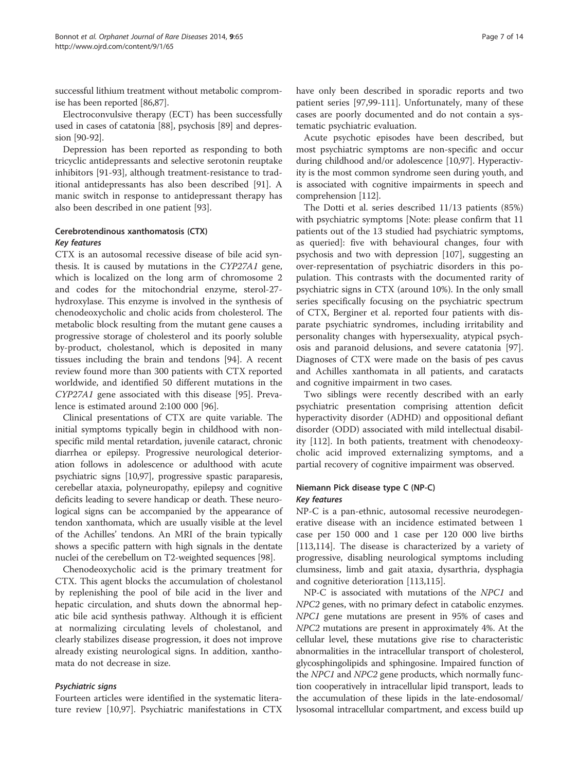successful lithium treatment without metabolic compromise has been reported [\[86,87\]](#page-12-0).

Electroconvulsive therapy (ECT) has been successfully used in cases of catatonia [[88](#page-12-0)], psychosis [\[89\]](#page-12-0) and depression [\[90-92\]](#page-12-0).

Depression has been reported as responding to both tricyclic antidepressants and selective serotonin reuptake inhibitors [\[91](#page-12-0)-[93](#page-12-0)], although treatment-resistance to traditional antidepressants has also been described [[91\]](#page-12-0). A manic switch in response to antidepressant therapy has also been described in one patient [[93](#page-12-0)].

# Cerebrotendinous xanthomatosis (CTX) Key features

CTX is an autosomal recessive disease of bile acid synthesis. It is caused by mutations in the CYP27A1 gene, which is localized on the long arm of chromosome 2 and codes for the mitochondrial enzyme, sterol-27 hydroxylase. This enzyme is involved in the synthesis of chenodeoxycholic and cholic acids from cholesterol. The metabolic block resulting from the mutant gene causes a progressive storage of cholesterol and its poorly soluble by-product, cholestanol, which is deposited in many tissues including the brain and tendons [[94\]](#page-12-0). A recent review found more than 300 patients with CTX reported worldwide, and identified 50 different mutations in the CYP27A1 gene associated with this disease [\[95\]](#page-12-0). Prevalence is estimated around 2:100 000 [[96\]](#page-12-0).

Clinical presentations of CTX are quite variable. The initial symptoms typically begin in childhood with nonspecific mild mental retardation, juvenile cataract, chronic diarrhea or epilepsy. Progressive neurological deterioration follows in adolescence or adulthood with acute psychiatric signs [[10](#page-10-0)[,97](#page-12-0)], progressive spastic paraparesis, cerebellar ataxia, polyneuropathy, epilepsy and cognitive deficits leading to severe handicap or death. These neurological signs can be accompanied by the appearance of tendon xanthomata, which are usually visible at the level of the Achilles' tendons. An MRI of the brain typically shows a specific pattern with high signals in the dentate nuclei of the cerebellum on T2-weighted sequences [\[98\]](#page-12-0).

Chenodeoxycholic acid is the primary treatment for CTX. This agent blocks the accumulation of cholestanol by replenishing the pool of bile acid in the liver and hepatic circulation, and shuts down the abnormal hepatic bile acid synthesis pathway. Although it is efficient at normalizing circulating levels of cholestanol, and clearly stabilizes disease progression, it does not improve already existing neurological signs. In addition, xanthomata do not decrease in size.

# Psychiatric signs

Fourteen articles were identified in the systematic literature review [[10](#page-10-0),[97](#page-12-0)]. Psychiatric manifestations in CTX have only been described in sporadic reports and two patient series [[97,99-111\]](#page-12-0). Unfortunately, many of these cases are poorly documented and do not contain a systematic psychiatric evaluation.

Acute psychotic episodes have been described, but most psychiatric symptoms are non-specific and occur during childhood and/or adolescence [[10](#page-10-0)[,97](#page-12-0)]. Hyperactivity is the most common syndrome seen during youth, and is associated with cognitive impairments in speech and comprehension [\[112\]](#page-12-0).

The Dotti et al. series described 11/13 patients (85%) with psychiatric symptoms [Note: please confirm that 11 patients out of the 13 studied had psychiatric symptoms, as queried]: five with behavioural changes, four with psychosis and two with depression [\[107\]](#page-12-0), suggesting an over-representation of psychiatric disorders in this population. This contrasts with the documented rarity of psychiatric signs in CTX (around 10%). In the only small series specifically focusing on the psychiatric spectrum of CTX, Berginer et al. reported four patients with disparate psychiatric syndromes, including irritability and personality changes with hypersexuality, atypical psychosis and paranoid delusions, and severe catatonia [\[97](#page-12-0)]. Diagnoses of CTX were made on the basis of pes cavus and Achilles xanthomata in all patients, and caratacts and cognitive impairment in two cases.

Two siblings were recently described with an early psychiatric presentation comprising attention deficit hyperactivity disorder (ADHD) and oppositional defiant disorder (ODD) associated with mild intellectual disability [\[112\]](#page-12-0). In both patients, treatment with chenodeoxycholic acid improved externalizing symptoms, and a partial recovery of cognitive impairment was observed.

# Niemann Pick disease type C (NP-C) Key features

NP-C is a pan-ethnic, autosomal recessive neurodegenerative disease with an incidence estimated between 1 case per 150 000 and 1 case per 120 000 live births [[113,114](#page-12-0)]. The disease is characterized by a variety of progressive, disabling neurological symptoms including clumsiness, limb and gait ataxia, dysarthria, dysphagia and cognitive deterioration [\[113,115](#page-12-0)].

NP-C is associated with mutations of the NPC1 and NPC2 genes, with no primary defect in catabolic enzymes. NPC1 gene mutations are present in 95% of cases and NPC2 mutations are present in approximately 4%. At the cellular level, these mutations give rise to characteristic abnormalities in the intracellular transport of cholesterol, glycosphingolipids and sphingosine. Impaired function of the NPC1 and NPC2 gene products, which normally function cooperatively in intracellular lipid transport, leads to the accumulation of these lipids in the late-endosomal/ lysosomal intracellular compartment, and excess build up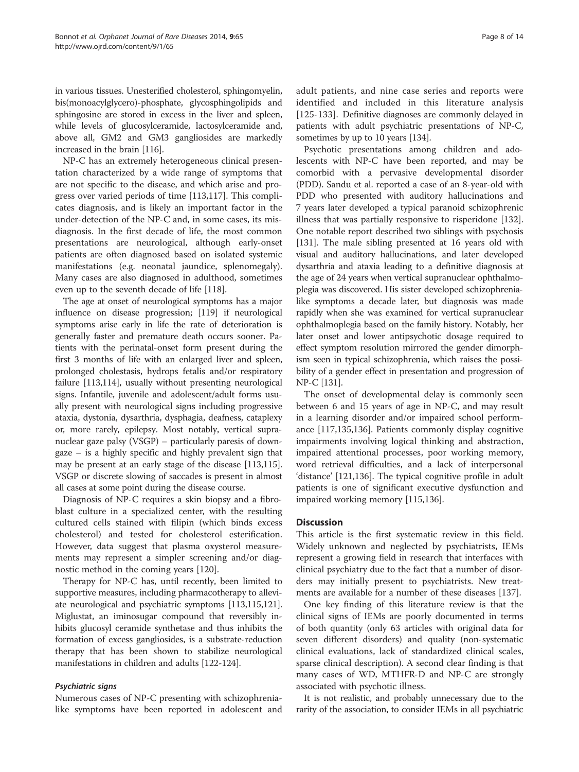in various tissues. Unesterified cholesterol, sphingomyelin, bis(monoacylglycero)-phosphate, glycosphingolipids and sphingosine are stored in excess in the liver and spleen, while levels of glucosylceramide, lactosylceramide and, above all, GM2 and GM3 gangliosides are markedly increased in the brain [\[116\]](#page-13-0).

NP-C has an extremely heterogeneous clinical presentation characterized by a wide range of symptoms that are not specific to the disease, and which arise and progress over varied periods of time [[113](#page-12-0),[117](#page-13-0)]. This complicates diagnosis, and is likely an important factor in the under-detection of the NP-C and, in some cases, its misdiagnosis. In the first decade of life, the most common presentations are neurological, although early-onset patients are often diagnosed based on isolated systemic manifestations (e.g. neonatal jaundice, splenomegaly). Many cases are also diagnosed in adulthood, sometimes even up to the seventh decade of life [\[118](#page-13-0)].

The age at onset of neurological symptoms has a major influence on disease progression; [[119](#page-13-0)] if neurological symptoms arise early in life the rate of deterioration is generally faster and premature death occurs sooner. Patients with the perinatal-onset form present during the first 3 months of life with an enlarged liver and spleen, prolonged cholestasis, hydrops fetalis and/or respiratory failure [[113,114\]](#page-12-0), usually without presenting neurological signs. Infantile, juvenile and adolescent/adult forms usually present with neurological signs including progressive ataxia, dystonia, dysarthria, dysphagia, deafness, cataplexy or, more rarely, epilepsy. Most notably, vertical supranuclear gaze palsy (VSGP) – particularly paresis of downgaze – is a highly specific and highly prevalent sign that may be present at an early stage of the disease [\[113,115](#page-12-0)]. VSGP or discrete slowing of saccades is present in almost all cases at some point during the disease course.

Diagnosis of NP-C requires a skin biopsy and a fibroblast culture in a specialized center, with the resulting cultured cells stained with filipin (which binds excess cholesterol) and tested for cholesterol esterification. However, data suggest that plasma oxysterol measurements may represent a simpler screening and/or diagnostic method in the coming years [\[120](#page-13-0)].

Therapy for NP-C has, until recently, been limited to supportive measures, including pharmacotherapy to alleviate neurological and psychiatric symptoms [[113,115,](#page-12-0)[121](#page-13-0)]. Miglustat, an iminosugar compound that reversibly inhibits glucosyl ceramide synthetase and thus inhibits the formation of excess gangliosides, is a substrate-reduction therapy that has been shown to stabilize neurological manifestations in children and adults [\[122-124\]](#page-13-0).

#### Psychiatric signs

Numerous cases of NP-C presenting with schizophrenialike symptoms have been reported in adolescent and

adult patients, and nine case series and reports were identified and included in this literature analysis [[125](#page-13-0)-[133](#page-13-0)]. Definitive diagnoses are commonly delayed in patients with adult psychiatric presentations of NP-C, sometimes by up to 10 years [\[134\]](#page-13-0).

Psychotic presentations among children and adolescents with NP-C have been reported, and may be comorbid with a pervasive developmental disorder (PDD). Sandu et al. reported a case of an 8-year-old with PDD who presented with auditory hallucinations and 7 years later developed a typical paranoid schizophrenic illness that was partially responsive to risperidone [[132](#page-13-0)]. One notable report described two siblings with psychosis [[131\]](#page-13-0). The male sibling presented at 16 years old with visual and auditory hallucinations, and later developed dysarthria and ataxia leading to a definitive diagnosis at the age of 24 years when vertical supranuclear ophthalmoplegia was discovered. His sister developed schizophrenialike symptoms a decade later, but diagnosis was made rapidly when she was examined for vertical supranuclear ophthalmoplegia based on the family history. Notably, her later onset and lower antipsychotic dosage required to effect symptom resolution mirrored the gender dimorphism seen in typical schizophrenia, which raises the possibility of a gender effect in presentation and progression of NP-C [\[131\]](#page-13-0).

The onset of developmental delay is commonly seen between 6 and 15 years of age in NP-C, and may result in a learning disorder and/or impaired school performance [[117,135,136](#page-13-0)]. Patients commonly display cognitive impairments involving logical thinking and abstraction, impaired attentional processes, poor working memory, word retrieval difficulties, and a lack of interpersonal 'distance' [\[121,136\]](#page-13-0). The typical cognitive profile in adult patients is one of significant executive dysfunction and impaired working memory [\[115,](#page-12-0)[136\]](#page-13-0).

### **Discussion**

This article is the first systematic review in this field. Widely unknown and neglected by psychiatrists, IEMs represent a growing field in research that interfaces with clinical psychiatry due to the fact that a number of disorders may initially present to psychiatrists. New treatments are available for a number of these diseases [\[137](#page-13-0)].

One key finding of this literature review is that the clinical signs of IEMs are poorly documented in terms of both quantity (only 63 articles with original data for seven different disorders) and quality (non-systematic clinical evaluations, lack of standardized clinical scales, sparse clinical description). A second clear finding is that many cases of WD, MTHFR-D and NP-C are strongly associated with psychotic illness.

It is not realistic, and probably unnecessary due to the rarity of the association, to consider IEMs in all psychiatric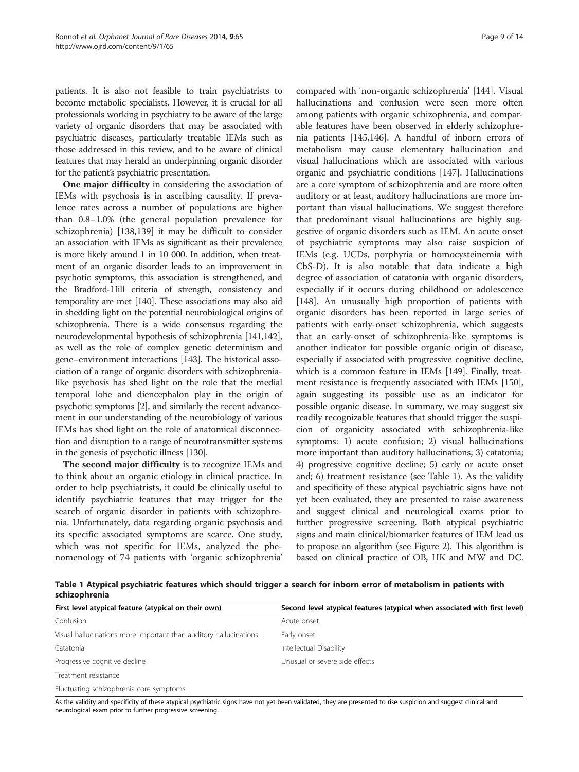patients. It is also not feasible to train psychiatrists to become metabolic specialists. However, it is crucial for all professionals working in psychiatry to be aware of the large variety of organic disorders that may be associated with psychiatric diseases, particularly treatable IEMs such as those addressed in this review, and to be aware of clinical features that may herald an underpinning organic disorder for the patient's psychiatric presentation.

One major difficulty in considering the association of IEMs with psychosis is in ascribing causality. If prevalence rates across a number of populations are higher than 0.8–1.0% (the general population prevalence for schizophrenia) [[138](#page-13-0),[139](#page-13-0)] it may be difficult to consider an association with IEMs as significant as their prevalence is more likely around 1 in 10 000. In addition, when treatment of an organic disorder leads to an improvement in psychotic symptoms, this association is strengthened, and the Bradford-Hill criteria of strength, consistency and temporality are met [[140\]](#page-13-0). These associations may also aid in shedding light on the potential neurobiological origins of schizophrenia. There is a wide consensus regarding the neurodevelopmental hypothesis of schizophrenia [\[141,142](#page-13-0)], as well as the role of complex genetic determinism and gene–environment interactions [[143](#page-13-0)]. The historical association of a range of organic disorders with schizophrenialike psychosis has shed light on the role that the medial temporal lobe and diencephalon play in the origin of psychotic symptoms [\[2](#page-10-0)], and similarly the recent advancement in our understanding of the neurobiology of various IEMs has shed light on the role of anatomical disconnection and disruption to a range of neurotransmitter systems in the genesis of psychotic illness [\[130\]](#page-13-0).

The second major difficulty is to recognize IEMs and to think about an organic etiology in clinical practice. In order to help psychiatrists, it could be clinically useful to identify psychiatric features that may trigger for the search of organic disorder in patients with schizophrenia. Unfortunately, data regarding organic psychosis and its specific associated symptoms are scarce. One study, which was not specific for IEMs, analyzed the phenomenology of 74 patients with 'organic schizophrenia'

compared with 'non-organic schizophrenia' [[144](#page-13-0)]. Visual hallucinations and confusion were seen more often among patients with organic schizophrenia, and comparable features have been observed in elderly schizophrenia patients [\[145,146\]](#page-13-0). A handful of inborn errors of metabolism may cause elementary hallucination and visual hallucinations which are associated with various organic and psychiatric conditions [\[147](#page-13-0)]. Hallucinations are a core symptom of schizophrenia and are more often auditory or at least, auditory hallucinations are more important than visual hallucinations. We suggest therefore that predominant visual hallucinations are highly suggestive of organic disorders such as IEM. An acute onset of psychiatric symptoms may also raise suspicion of IEMs (e.g. UCDs, porphyria or homocysteinemia with CbS-D). It is also notable that data indicate a high degree of association of catatonia with organic disorders, especially if it occurs during childhood or adolescence [[148\]](#page-13-0). An unusually high proportion of patients with organic disorders has been reported in large series of patients with early-onset schizophrenia, which suggests that an early-onset of schizophrenia-like symptoms is another indicator for possible organic origin of disease, especially if associated with progressive cognitive decline, which is a common feature in IEMs [\[149\]](#page-13-0). Finally, treatment resistance is frequently associated with IEMs [[150](#page-13-0)], again suggesting its possible use as an indicator for possible organic disease. In summary, we may suggest six readily recognizable features that should trigger the suspicion of organicity associated with schizophrenia-like symptoms: 1) acute confusion; 2) visual hallucinations more important than auditory hallucinations; 3) catatonia; 4) progressive cognitive decline; 5) early or acute onset and; 6) treatment resistance (see Table 1). As the validity and specificity of these atypical psychiatric signs have not yet been evaluated, they are presented to raise awareness and suggest clinical and neurological exams prior to further progressive screening. Both atypical psychiatric signs and main clinical/biomarker features of IEM lead us to propose an algorithm (see Figure [2](#page-9-0)). This algorithm is based on clinical practice of OB, HK and MW and DC.

Table 1 Atypical psychiatric features which should trigger a search for inborn error of metabolism in patients with schizophrenia

| First level atypical feature (atypical on their own)              | Second level atypical features (atypical when associated with first level) |
|-------------------------------------------------------------------|----------------------------------------------------------------------------|
| Confusion                                                         | Acute onset                                                                |
| Visual hallucinations more important than auditory hallucinations | Early onset                                                                |
| Catatonia                                                         | Intellectual Disability                                                    |
| Progressive cognitive decline                                     | Unusual or severe side effects                                             |
| Treatment resistance                                              |                                                                            |
| Fluctuating schizophrenia core symptoms                           |                                                                            |

As the validity and specificity of these atypical psychiatric signs have not yet been validated, they are presented to rise suspicion and suggest clinical and neurological exam prior to further progressive screening.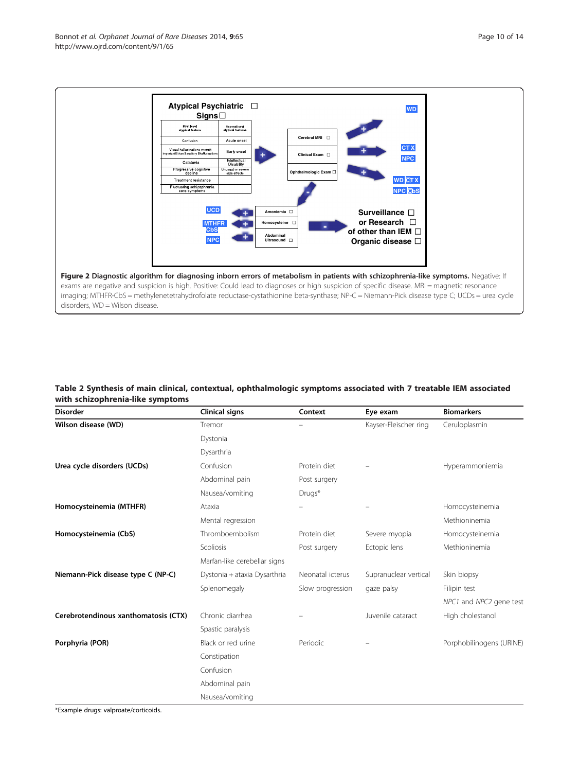<span id="page-9-0"></span>

# Table 2 Synthesis of main clinical, contextual, ophthalmologic symptoms associated with 7 treatable IEM associated with schizophrenia-like symptoms

| <b>Disorder</b>                      | Clinical signs               | Context          | Eye exam              | <b>Biomarkers</b>        |
|--------------------------------------|------------------------------|------------------|-----------------------|--------------------------|
| Wilson disease (WD)                  | Tremor                       |                  | Kayser-Fleischer ring | Ceruloplasmin            |
|                                      | Dystonia                     |                  |                       |                          |
|                                      | Dysarthria                   |                  |                       |                          |
| Urea cycle disorders (UCDs)          | Confusion                    | Protein diet     |                       | Hyperammoniemia          |
|                                      | Abdominal pain               | Post surgery     |                       |                          |
|                                      | Nausea/vomiting              | Drugs*           |                       |                          |
| Homocysteinemia (MTHFR)              | Ataxia                       |                  |                       | Homocysteinemia          |
|                                      | Mental regression            |                  |                       | Methioninemia            |
| Homocysteinemia (CbS)                | Thromboembolism              | Protein diet     | Severe myopia         | Homocysteinemia          |
|                                      | Scoliosis                    | Post surgery     | Ectopic lens          | Methioninemia            |
|                                      | Marfan-like cerebellar signs |                  |                       |                          |
| Niemann-Pick disease type C (NP-C)   | Dystonia + ataxia Dysarthria | Neonatal icterus | Supranuclear vertical | Skin biopsy              |
|                                      | Splenomegaly                 | Slow progression | gaze palsy            | Filipin test             |
|                                      |                              |                  |                       | NPC1 and NPC2 gene test  |
| Cerebrotendinous xanthomatosis (CTX) | Chronic diarrhea             |                  | Juvenile cataract     | High cholestanol         |
|                                      | Spastic paralysis            |                  |                       |                          |
| Porphyria (POR)                      | Black or red urine           | Periodic         |                       | Porphobilinogens (URINE) |
|                                      | Constipation                 |                  |                       |                          |
|                                      | Confusion                    |                  |                       |                          |
|                                      | Abdominal pain               |                  |                       |                          |
|                                      | Nausea/vomiting              |                  |                       |                          |

\*Example drugs: valproate/corticoids.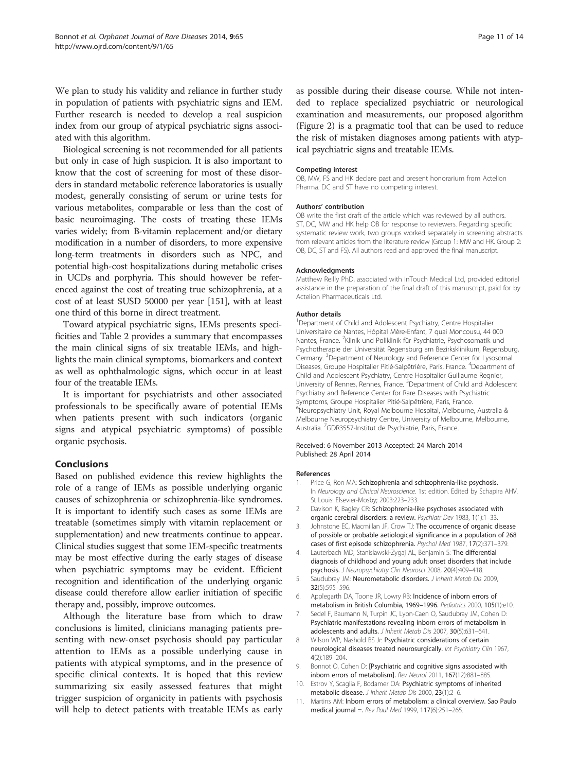<span id="page-10-0"></span>We plan to study his validity and reliance in further study in population of patients with psychiatric signs and IEM. Further research is needed to develop a real suspicion index from our group of atypical psychiatric signs associated with this algorithm.

Biological screening is not recommended for all patients but only in case of high suspicion. It is also important to know that the cost of screening for most of these disorders in standard metabolic reference laboratories is usually modest, generally consisting of serum or urine tests for various metabolites, comparable or less than the cost of basic neuroimaging. The costs of treating these IEMs varies widely; from B-vitamin replacement and/or dietary modification in a number of disorders, to more expensive long-term treatments in disorders such as NPC, and potential high-cost hospitalizations during metabolic crises in UCDs and porphyria. This should however be referenced against the cost of treating true schizophrenia, at a cost of at least \$USD 50000 per year [[151](#page-13-0)], with at least one third of this borne in direct treatment.

Toward atypical psychiatric signs, IEMs presents specificities and Table [2](#page-9-0) provides a summary that encompasses the main clinical signs of six treatable IEMs, and highlights the main clinical symptoms, biomarkers and context as well as ophthalmologic signs, which occur in at least four of the treatable IEMs.

It is important for psychiatrists and other associated professionals to be specifically aware of potential IEMs when patients present with such indicators (organic signs and atypical psychiatric symptoms) of possible organic psychosis.

### Conclusions

Based on published evidence this review highlights the role of a range of IEMs as possible underlying organic causes of schizophrenia or schizophrenia-like syndromes. It is important to identify such cases as some IEMs are treatable (sometimes simply with vitamin replacement or supplementation) and new treatments continue to appear. Clinical studies suggest that some IEM-specific treatments may be most effective during the early stages of disease when psychiatric symptoms may be evident. Efficient recognition and identification of the underlying organic disease could therefore allow earlier initiation of specific therapy and, possibly, improve outcomes.

Although the literature base from which to draw conclusions is limited, clinicians managing patients presenting with new-onset psychosis should pay particular attention to IEMs as a possible underlying cause in patients with atypical symptoms, and in the presence of specific clinical contexts. It is hoped that this review summarizing six easily assessed features that might trigger suspicion of organicity in patients with psychosis will help to detect patients with treatable IEMs as early

as possible during their disease course. While not intended to replace specialized psychiatric or neurological examination and measurements, our proposed algorithm (Figure [2](#page-9-0)) is a pragmatic tool that can be used to reduce the risk of mistaken diagnoses among patients with atypical psychiatric signs and treatable IEMs.

#### Competing interest

OB, MW, FS and HK declare past and present honorarium from Actelion Pharma. DC and ST have no competing interest.

#### Authors' contribution

OB write the first draft of the article which was reviewed by all authors. ST, DC, MW and HK help OB for response to reviewers. Regarding specific systematic review work, two groups worked separately in screening abstracts from relevant articles from the literature review (Group 1: MW and HK. Group 2: OB, DC, ST and FS). All authors read and approved the final manuscript.

#### Acknowledgments

Matthew Reilly PhD, associated with InTouch Medical Ltd, provided editorial assistance in the preparation of the final draft of this manuscript, paid for by Actelion Pharmaceuticals Ltd.

#### Author details

<sup>1</sup>Department of Child and Adolescent Psychiatry, Centre Hospitalier Universitaire de Nantes, Hôpital Mère-Enfant, 7 quai Moncousu, 44 000 Nantes, France. <sup>2</sup>Klinik und Poliklinik für Psychiatrie, Psychosomatik und Psychotherapie der Universität Regensburg am Bezirksklinikum, Regensburg, Germany. <sup>3</sup>Department of Neurology and Reference Center for Lysosomal Diseases, Groupe Hospitalier Pitié-Salpêtrière, Paris, France. <sup>4</sup>Department of Child and Adolescent Psychiatry, Centre Hospitalier Guillaume Regnier, University of Rennes, Rennes, France. <sup>5</sup>Department of Child and Adolescent Psychiatry and Reference Center for Rare Diseases with Psychiatric Symptoms, Groupe Hospitalier Pitié-Salpêtrière, Paris, France. 6 Neuropsychiatry Unit, Royal Melbourne Hospital, Melbourne, Australia & Melbourne Neuropsychiatry Centre, University of Melbourne, Melbourne, Australia. <sup>7</sup>GDR3557-Institut de Psychiatrie, Paris, France.

#### Received: 6 November 2013 Accepted: 24 March 2014 Published: 28 April 2014

#### References

- Price G, Ron MA: Schizophrenia and schizophrenia-like psychosis. In Neurology and Clinical Neuroscience. 1st edition. Edited by Schapira AHV. St Louis: Elsevier-Mosby; 2003:223–233.
- 2. Davison K, Bagley CR: Schizophrenia-like psychoses associated with organic cerebral disorders: a review. Psychiatr Dev 1983, 1(1):1–33.
- 3. Johnstone EC, Macmillan JF, Crow TJ: The occurrence of organic disease of possible or probable aetiological significance in a population of 268 cases of first episode schizophrenia. Psychol Med 1987, 17(2):371–379.
- 4. Lauterbach MD, Stanislawski-Zygaj AL, Benjamin S: The differential diagnosis of childhood and young adult onset disorders that include psychosis. J Neuropsychiatry Clin Neurosci 2008, 20(4):409–418.
- 5. Saudubray JM: Neurometabolic disorders. J Inherit Metab Dis 2009, 32(5):595–596.
- 6. Applegarth DA, Toone JR, Lowry RB: Incidence of inborn errors of metabolism in British Columbia, 1969–1996. Pediatrics 2000, 105(1):e10.
- 7. Sedel F, Baumann N, Turpin JC, Lyon-Caen O, Saudubray JM, Cohen D: Psychiatric manifestations revealing inborn errors of metabolism in adolescents and adults. J Inherit Metab Dis 2007, 30(5):631–641.
- Wilson WP, Nashold BS Jr: Psychiatric considerations of certain neurological diseases treated neurosurgically. Int Psychiatry Clin 1967, 4(2):189–204.
- 9. Bonnot O, Cohen D: [Psychiatric and cognitive signs associated with inborn errors of metabolism]. Rev Neurol 2011, 167(12):881–885.
- 10. Estrov Y, Scaglia F, Bodamer OA: Psychiatric symptoms of inherited metabolic disease. J Inherit Metab Dis 2000, 23(1):2–6.
- 11. Martins AM: Inborn errors of metabolism: a clinical overview. Sao Paulo medical journal =. Rev Paul Med 1999, 117(6):251–265.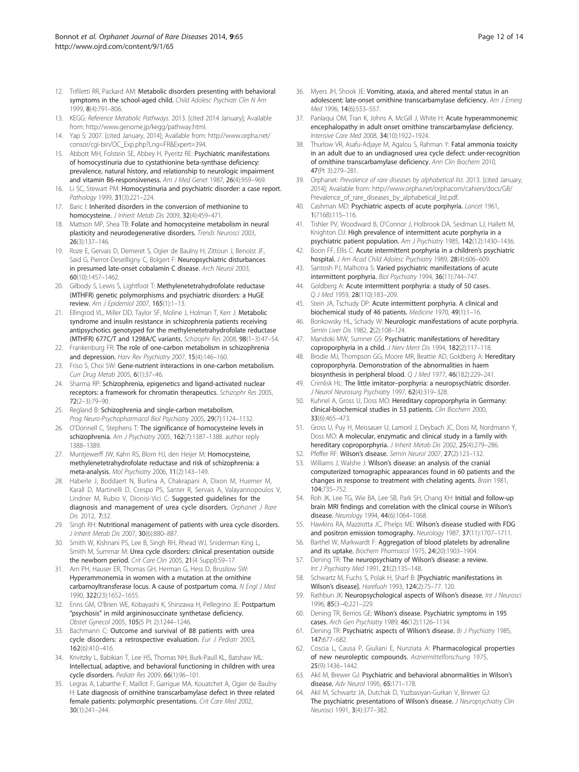- <span id="page-11-0"></span>12. Trifiletti RR, Packard AM: Metabolic disorders presenting with behavioral symptoms in the school-aged child. Child Adolesc Psychiatr Clin N Am 1999, 8(4):791–806.
- 13. KEGG: Reference Metabolic Pathways. 2013. [cited 2014 January]: Available from:<http://www.genome.jp/kegg/pathway.html>.
- 14. Yap S: 2007. [cited January, 2014]; Available from: [http://www.orpha.net/](http://www.orpha.net/consor/cgi-bin/OC_Exp.php?Lng=FR&Expert=394) [consor/cgi-bin/OC\\_Exp.php?Lng=FR&Expert=394](http://www.orpha.net/consor/cgi-bin/OC_Exp.php?Lng=FR&Expert=394).
- 15. Abbott MH, Folstein SE, Abbey H, Pyeritz RE: Psychiatric manifestations of homocystinuria due to cystathionine beta-synthase deficiency: prevalence, natural history, and relationship to neurologic impairment and vitamin B6-responsiveness. Am J Med Genet 1987, 26(4):959–969.
- 16. Li SC, Stewart PM: Homocystinuria and psychiatric disorder: a case report. Pathology 1999, 31(3):221–224.
- 17. Baric I: Inherited disorders in the conversion of methionine to homocysteine. J Inherit Metab Dis 2009, 32(4):459-471.
- 18. Mattson MP, Shea TB: Folate and homocysteine metabolism in neural plasticity and neurodegenerative disorders. Trends Neurosci 2003, 26(3):137–146.
- 19. Roze E, Gervais D, Demeret S, Ogier de Baulny H, Zittoun J, Benoist JF, Said G, Pierrot-Deseilligny C, Bolgert F: Neuropsychiatric disturbances in presumed late-onset cobalamin C disease. Arch Neurol 2003, 60(10):1457–1462.
- 20. Gilbody S, Lewis S, Lightfoot T: Methylenetetrahydrofolate reductase (MTHFR) genetic polymorphisms and psychiatric disorders: a HuGE review. Am J Epidemiol 2007, 165(1):1–13.
- 21. Ellingrod VL, Miller DD, Taylor SF, Moline J, Holman T, Kerr J: Metabolic syndrome and insulin resistance in schizophrenia patients receiving antipsychotics genotyped for the methylenetetrahydrofolate reductase (MTHFR) 677C/T and 1298A/C variants. Schizophr Res 2008, 98(1–3):47–54.
- 22. Frankenburg FR: The role of one-carbon metabolism in schizophrenia and depression. Harv Rev Psychiatry 2007, 15(4):146-160.
- 23. Friso S, Choi SW: Gene-nutrient interactions in one-carbon metabolism. Curr Drug Metab 2005, 6(1):37–46.
- 24. Sharma RP: Schizophrenia, epigenetics and ligand-activated nuclear receptors: a framework for chromatin therapeutics. Schizophr Res 2005, 72(2–3):79–90.
- 25. Regland B: Schizophrenia and single-carbon metabolism. Prog Neuro-Psychopharmacol Biol Psychiatry 2005, 29(7):1124-1132.
- 26. O'Donnell C, Stephens T: The significance of homocysteine levels in schizophrenia. Am J Psychiatry 2005, 162(7):1387-1388. author reply 1388–1389.
- 27. Muntjewerff JW, Kahn RS, Blom HJ, den Heijer M: Homocysteine, methylenetetrahydrofolate reductase and risk of schizophrenia: a meta-analysis. Mol Psychiatry 2006, 11(2):143–149.
- 28. Haberle J, Boddaert N, Burlina A, Chakrapani A, Dixon M, Huemer M, Karall D, Martinelli D, Crespo PS, Santer R, Servais A, Valayannopoulos V, Lindner M, Rubio V, Dionisi-Vici C: Suggested guidelines for the diagnosis and management of urea cycle disorders. Orphanet J Rare Dis 2012, 7:32.
- 29. Singh RH: Nutritional management of patients with urea cycle disorders. J Inherit Metab Dis 2007, 30(6):880–887.
- 30. Smith W, Kishnani PS, Lee B, Singh RH, Rhead WJ, Sniderman King L, Smith M, Summar M: Urea cycle disorders: clinical presentation outside the newborn period. Crit Care Clin 2005, 21(4 Suppl):S9-17.
- 31. Arn PH, Hauser ER, Thomas GH, Herman G, Hess D, Brusilow SW: Hyperammonemia in women with a mutation at the ornithine carbamoyltransferase locus. A cause of postpartum coma. N Engl J Med 1990, 322(23):1652–1655.
- 32. Enns GM, O'Brien WE, Kobayashi K, Shinzawa H, Pellegrino JE: Postpartum "psychosis" in mild argininosuccinate synthetase deficiency. Obstet Gynecol 2005, 105(5 Pt 2):1244–1246.
- 33. Bachmann C: Outcome and survival of 88 patients with urea cycle disorders: a retrospective evaluation. Eur J Pediatr 2003, 162(6):410–416.
- 34. Krivitzky L, Babikian T, Lee HS, Thomas NH, Burk-Paull KL, Batshaw ML: Intellectual, adaptive, and behavioral functioning in children with urea cycle disorders. Pediatr Res 2009, 66(1):96–101.
- Legras A, Labarthe F, Maillot F, Garrigue MA, Kouatchet A, Ogier de Baulny H: Late diagnosis of ornithine transcarbamylase defect in three related female patients: polymorphic presentations. Crit Care Med 2002, 30(1):241–244.
- 36. Myers JH, Shook JE: Vomiting, ataxia, and altered mental status in an adolescent: late-onset ornithine transcarbamylase deficiency. Am J Emerg Med 1996, 14(6):553–557.
- 37. Panlaqui OM, Tran K, Johns A, McGill J, White H: Acute hyperammonemic encephalopathy in adult onset ornithine transcarbamylase deficiency. Intensive Care Med 2008, 34(10):1922–1924.
- 38. Thurlow VR, Asafu-Adjaye M, Agalou S, Rahman Y: Fatal ammonia toxicity in an adult due to an undiagnosed urea cycle defect: under-recognition of ornithine transcarbamylase deficiency. Ann Clin Biochem 2010, 47(Pt 3):279–281.
- 39. Orphanet: Prevalence of rare diseases by alphabetical list. 2013. [cited January, 2014]; Available from: [http://www.orpha.net/orphacom/cahiers/docs/GB/](http://www.orpha.net/orphacom/cahiers/docs/GB/Prevalence_of_rare_diseases_by_alphabetical_list.pdf) [Prevalence\\_of\\_rare\\_diseases\\_by\\_alphabetical\\_list.pdf.](http://www.orpha.net/orphacom/cahiers/docs/GB/Prevalence_of_rare_diseases_by_alphabetical_list.pdf)
- 40. Cashman MD: Psychiatric aspects of acute porphyria. Lancet 1961, 1(7168):115–116.
- 41. Tishler PV, Woodward B, O'Connor J, Holbrook DA, Seidman LJ, Hallett M, Knighton DJ: High prevalence of intermittent acute porphyria in a psychiatric patient population. Am J Psychiatry 1985, 142(12):1430–1436.
- 42. Boon FF, Ellis C: Acute intermittent porphyria in a children's psychiatric hospital. J Am Acad Child Adolesc Psychiatry 1989, 28(4):606–609.
- 43. Santosh PJ, Malhotra S: Varied psychiatric manifestations of acute intermittent porphyria. Biol Psychiatry 1994, 36(11):744–747.
- 44. Goldberg A: Acute intermittent porphyria: a study of 50 cases. Q J Med 1959, 28(110):183–209.
- 45. Stein JA, Tschudy DP: Acute intermittent porphyria. A clinical and biochemical study of 46 patients. Medicine 1970, 49(1):1–16.
- 46. Bonkowsky HL, Schady W: Neurologic manifestations of acute porphyria. Semin Liver Dis 1982, 2(2):108–124.
- 47. Mandoki MW, Sumner GS: Psychiatric manifestations of hereditary coproporphyria in a child. J Nerv Ment Dis 1994, 182(2):117–118.
- 48. Brodie MJ, Thompson GG, Moore MR, Beattie AD, Goldberg A: Hereditary coproporphyria. Demonstration of the abnormalities in haem biosynthesis in peripheral blood. Q J Med 1977, 46(182):229–241.
- 49. Crimlisk HL: The little imitator–porphyria: a neuropsychiatric disorder. J Neurol Neurosurg Psychiatry 1997, 62(4):319–328.
- 50. Kuhnel A, Gross U, Doss MO: Hereditary coproporphyria in Germany: clinical-biochemical studies in 53 patients. Clin Biochem 2000, 33(6):465–473.
- 51. Gross U, Puy H, Meissauer U, Lamoril J, Deybach JC, Doss M, Nordmann Y, Doss MO: A molecular, enzymatic and clinical study in a family with hereditary coproporphyria. J Inherit Metab Dis 2002, 25(4):279–286.
- 52. Pfeffer RF: Wilson's disease. Semin Neurol 2007, 27(2):123–132.
- 53. Williams J, Walshe J: Wilson's disease: an analysis of the cranial computerized tomographic appearances found in 60 patients and the changes in response to treatment with chelating agents. Brain 1981, 104:735–752.
- 54. Roh JK, Lee TG, Wie BA, Lee SB, Park SH, Chang KH: Initial and follow-up brain MRI findings and correlation with the clinical course in Wilson's disease. Neurology 1994, 44(6):1064–1068.
- Hawkins RA, Mazziotta JC, Phelps ME: Wilson's disease studied with FDG and positron emission tomography. Neurology 1987, 37(11):1707–1711.
- 56. Barthel W, Markwardt F: Aggregation of blood platelets by adrenaline and its uptake. Biochem Pharmacol 1975, 24(20):1903–1904.
- 57. Dening TR: The neuropsychiatry of Wilson's disease: a review. Int J Psychiatry Med 1991, 21(2):135–148.
- 58. Schwartz M, Fuchs S, Polak H, Sharf B: [Psychiatric manifestations in Wilson's disease]. Harefuah 1993, 124(2):75-77. 120.
- 59. Rathbun JK: Neuropsychological aspects of Wilson's disease. Int J Neurosci 1996, 85(3–4):221–229.
- 60. Dening TR, Berrios GE: Wilson's disease. Psychiatric symptoms in 195 cases. Arch Gen Psychiatry 1989, 46(12):1126–1134.
- 61. Dening TR: Psychiatric aspects of Wilson's disease. Br J Psychiatry 1985, 147:677–682.
- 62. Coscia L, Causa P, Giuliani E, Nunziata A: Pharmacological properties of new neuroleptic compounds. Arzneimittelforschung 1975, 25(9):1436–1442.
- 63. Akil M, Brewer GJ: Psychiatric and behavioral abnormalities in Wilson's disease. Adv Neurol 1995, 65:171–178.
- 64. Akil M, Schwartz JA, Dutchak D, Yuzbasiyan-Gurkan V, Brewer GJ: The psychiatric presentations of Wilson's disease. J Neuropsychiatry Clin Neurosci 1991, 3(4):377–382.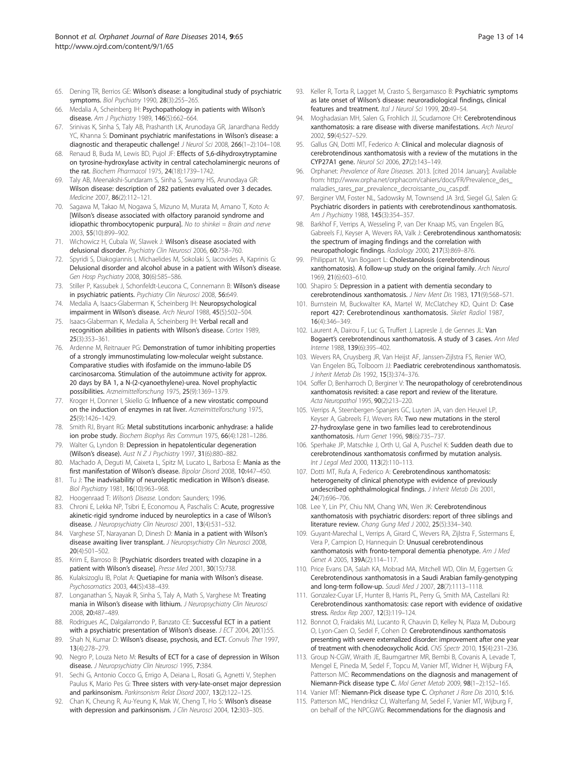- <span id="page-12-0"></span>65. Dening TR, Berrios GE: Wilson's disease: a longitudinal study of psychiatric symptoms. Biol Psychiatry 1990, 28(3):255–265.
- 66. Medalia A, Scheinberg IH: Psychopathology in patients with Wilson's disease. Am J Psychiatry 1989, 146(5):662–664.
- 67. Srinivas K, Sinha S, Taly AB, Prashanth LK, Arunodaya GR, Janardhana Reddy YC, Khanna S: Dominant psychiatric manifestations in Wilson's disease: a diagnostic and therapeutic challenge! J Neurol Sci 2008, 266(1-2):104-108.
- 68. Renaud B, Buda M, Lewis BD, Pujol JF: Effects of 5,6-dihydroxytryptamine on tyrosine-hydroxylase activity in central catecholaminergic neurons of the rat. Biochem Pharmacol 1975, 24(18):1739–1742.
- 69. Taly AB, Meenakshi-Sundaram S, Sinha S, Swamy HS, Arunodaya GR: Wilson disease: description of 282 patients evaluated over 3 decades. Medicine 2007, 86(2):112–121.
- 70. Sagawa M, Takao M, Nogawa S, Mizuno M, Murata M, Amano T, Koto A: [Wilson's disease associated with olfactory paranoid syndrome and idiopathic thrombocytopenic purpura]. No to shinkei  $=$  Brain and nerve 2003, 55(10):899–902.
- 71. Wichowicz H, Cubala W, Slawek J: Wilson's disease asociated with delusional disorder. Psychiatry Clin Neurosci 2006, 60:758-760.
- 72. Spyridi S, Diakogiannis I, Michaelides M, Sokolaki S, Iacovides A, Kaprinis G: Delusional disorder and alcohol abuse in a patient with Wilson's disease. Gen Hosp Psychiatry 2008, 30(6):585–586.
- 73. Stiller P, Kassubek J, Schonfeldt-Leucona C, Connemann B: Wilson's disease in psychiatric patients. Psychiatry Clin Neurosci 2008, 56:649.
- 74. Medalia A, Isaacs-Glaberman K, Scheinberg IH: Neuropsychological impairment in Wilson's disease. Arch Neurol 1988, 45(5):502–504.
- 75. Isaacs-Glaberman K, Medalia A, Scheinberg IH: Verbal recall and recognition abilities in patients with Wilson's disease. Cortex 1989, 25(3):353–361.
- 76. Ardenne M, Reitnauer PG: Demonstration of tumor inhibiting properties of a strongly immunostimulating low-molecular weight substance. Comparative studies with ifosfamide on the immuno-labile DS carcinosarcoma. Stimulation of the autoimmune activity for approx. 20 days by BA 1, a N-(2-cyanoethylene)-urea. Novel prophylactic possibilities. Arzneimittelforschung 1975, 25(9):1369–1379.
- 77. Kroger H, Donner I, Skiello G: Influence of a new virostatic compound on the induction of enzymes in rat liver. Arzneimittelforschung 1975, 25(9):1426–1429.
- Smith RJ, Bryant RG: Metal substitutions incarbonic anhydrase: a halide ion probe study. Biochem Biophys Res Commun 1975, 66(4):1281–1286.
- 79. Walter G, Lyndon B: Depression in hepatolenticular degeneration (Wilson's disease). Aust N Z J Psychiatry 1997, 31(6):880–882.
- 80. Machado A, Deguti M, Caixeta L, Spitz M, Lucato L, Barbosa E: Mania as the first manifestation of Wilson's disease. Bipolar Disord 2008, 10:447–450.
- 81. Tu J: The inadvisability of neuroleptic medication in Wilson's disease. Biol Psychiatry 1981, 16(10):963–968.
- 82. Hoogenraad T: Wilson's Disease. London: Saunders; 1996.
- 83. Chroni E, Lekka NP, Tsibri E, Economou A, Paschalis C: Acute, progressive akinetic-rigid syndrome induced by neuroleptics in a case of Wilson's disease. J Neuropsychiatry Clin Neurosci 2001, 13(4):531-532.
- 84. Varghese ST, Narayanan D, Dinesh D: Mania in a patient with Wilson's disease awaiting liver transplant. J Neuropsychiatry Clin Neurosci 2008, 20(4):501–502.
- 85. Krim E, Barroso B: [Psychiatric disorders treated with clozapine in a patient with Wilson's disease]. Presse Med 2001, 30(15):738.
- 86. Kulaksizoglu IB, Polat A: Quetiapine for mania with Wilson's disease. Psychosomatics 2003, 44(5):438–439.
- 87. Longanathan S, Nayak R, Sinha S, Taly A, Math S, Varghese M: Treating mania in Wilson's disease with lithium. J Neuropsychiatry Clin Neurosci 2008, 20:487–489.
- 88. Rodrigues AC, Dalgalarrondo P, Banzato CE: Successful ECT in a patient with a psychiatric presentation of Wilson's disease. J ECT 2004, 20(1):55.
- 89. Shah N, Kumar D: Wilson's disease, psychosis, and ECT. Convuls Ther 1997, 13(4):278–279.
- 90. Negro P, Louza Neto M: Results of ECT for a case of depression in Wilson disease. J Neuropsychiatry Clin Neurosci 1995, 7:384.
- 91. Sechi G, Antonio Cocco G, Errigo A, Deiana L, Rosati G, Agnetti V, Stephen Paulus K, Mario Pes G: Three sisters with very-late-onset major depression and parkinsonism. Parkinsonism Relat Disord 2007, 13(2):122–125.
- 92. Chan K, Cheung R, Au-Yeung K, Mak W, Cheng T, Ho S: Wilson's disease with depression and parkinsonism. J Clin Neurosci 2004, 12:303-305.
- 93. Keller R, Torta R, Lagget M, Crasto S, Bergamasco B: Psychiatric symptoms as late onset of Wilson's disease: neuroradiological findings, clinical features and treatment. Ital J Neurol Sci 1999, 20:49-54.
- 94. Moghadasian MH, Salen G, Frohlich JJ, Scudamore CH: Cerebrotendinous xanthomatosis: a rare disease with diverse manifestations. Arch Neurol 2002, 59(4):527–529.
- 95. Gallus GN, Dotti MT, Federico A: Clinical and molecular diagnosis of cerebrotendinous xanthomatosis with a review of the mutations in the CYP27A1 gene. Neurol Sci 2006, 27(2):143–149.
- 96. Orphanet: Prevalence of Rare Diseases. 2013. [cited 2014 January]; Available from: [http://www.orpha.net/orphacom/cahiers/docs/FR/Prevalence\\_des\\_](http://www.orpha.net/orphacom/cahiers/docs/FR/Prevalence_des_maladies_rares_par_prevalence_decroissante_ou_cas.pdf) [maladies\\_rares\\_par\\_prevalence\\_decroissante\\_ou\\_cas.pdf](http://www.orpha.net/orphacom/cahiers/docs/FR/Prevalence_des_maladies_rares_par_prevalence_decroissante_ou_cas.pdf).
- 97. Berginer VM, Foster NL, Sadowsky M, Townsend JA 3rd, Siegel GJ, Salen G: Psychiatric disorders in patients with cerebrotendinous xanthomatosis. Am J Psychiatry 1988, 145(3):354-357.
- 98. Barkhof F, Verrips A, Wesseling P, van Der Knaap MS, van Engelen BG, Gabreels FJ, Keyser A, Wevers RA, Valk J: Cerebrotendinous xanthomatosis: the spectrum of imaging findings and the correlation with neuropathologic findings. Radiology 2000, 217(3):869–876.
- 99. Philippart M, Van Bogaert L: Cholestanolosis (cerebrotendinous xanthomatosis). A follow-up study on the original family. Arch Neurol 1969, 21(6):603–610.
- 100. Shapiro S: Depression in a patient with dementia secondary to cerebrotendinous xanthomatosis. J Nerv Ment Dis 1983, 171(9):568–571.
- 101. Burnstein M, Buckwalter KA, Martel W, McClatchey KD, Quint D: Case report 427: Cerebrotendinous xanthomatosis. Skelet Radiol 1987, 16(4):346–349.
- 102. Laurent A, Dairou F, Luc G, Truffert J, Lapresle J, de Gennes JL: Van Bogaert's cerebrotendinous xanthomatosis. A study of 3 cases. Ann Med Interne 1988, 139(6):395–402.
- 103. Wevers RA, Cruysberg JR, Van Heijst AF, Janssen-Zijlstra FS, Renier WO, Van Engelen BG, Tolboom JJ: Paediatric cerebrotendinous xanthomatosis. J Inherit Metab Dis 1992, 15(3):374–376.
- 104. Soffer D, Benharroch D, Berginer V: The neuropathology of cerebrotendinous xanthomatosis revisited: a case report and review of the literature. Acta Neuropathol 1995, 90(2):213-220.
- 105. Verrips A, Steenbergen-Spanjers GC, Luyten JA, van den Heuvel LP, Keyser A, Gabreels FJ, Wevers RA: Two new mutations in the sterol 27-hydroxylase gene in two families lead to cerebrotendinous xanthomatosis. Hum Genet 1996, 98(6):735–737.
- 106. Sperhake JP, Matschke J, Orth U, Gal A, Puschel K: Sudden death due to cerebrotendinous xanthomatosis confirmed by mutation analysis. Int J Legal Med 2000, 113(2):110-113.
- 107. Dotti MT, Rufa A, Federico A: Cerebrotendinous xanthomatosis: heterogeneity of clinical phenotype with evidence of previously undescribed ophthalmological findings. J Inherit Metab Dis 2001, 24(7):696–706.
- 108. Lee Y, Lin PY, Chiu NM, Chang WN, Wen JK: Cerebrotendinous xanthomatosis with psychiatric disorders: report of three siblings and literature review. Chang Gung Med J 2002, 25(5):334-340.
- 109. Guyant-Marechal L, Verrips A, Girard C, Wevers RA, Zijlstra F, Sistermans E, Vera P, Campion D, Hannequin D: Unusual cerebrotendinous xanthomatosis with fronto-temporal dementia phenotype. Am J Med Genet A 2005, 139A(2):114-117.
- 110. Price Evans DA, Salah KA, Mobrad MA, Mitchell WD, Olin M, Eggertsen G: Cerebrotendinous xanthomatosis in a Saudi Arabian family-genotyping and long-term follow-up. Saudi Med J 2007, 28(7):1113-1118
- 111. Gonzalez-Cuyar LF, Hunter B, Harris PL, Perry G, Smith MA, Castellani RJ: Cerebrotendinous xanthomatosis: case report with evidence of oxidative stress. Redox Rep 2007, 12(3):119–124.
- 112. Bonnot O, Fraidakis MJ, Lucanto R, Chauvin D, Kelley N, Plaza M, Dubourg O, Lyon-Caen O, Sedel F, Cohen D: Cerebrotendinous xanthomatosis presenting with severe externalized disorder: improvement after one year of treatment with chenodeoxycholic Acid. CNS Spectr 2010, 15(4):231–236.
- 113. Group N-CGW, Wraith JE, Baumgartner MR, Bembi B, Covanis A, Levade T, Mengel E, Pineda M, Sedel F, Topcu M, Vanier MT, Widner H, Wijburg FA, Patterson MC: Recommendations on the diagnosis and management of Niemann-Pick disease type C. Mol Genet Metab 2009, 98(1–2):152–165.
- 114. Vanier MT: Niemann-Pick disease type C. Orphanet J Rare Dis 2010, 5:16.
- 115. Patterson MC, Hendriksz CJ, Walterfang M, Sedel F, Vanier MT, Wijburg F, on behalf of the NPCGWG: Recommendations for the diagnosis and